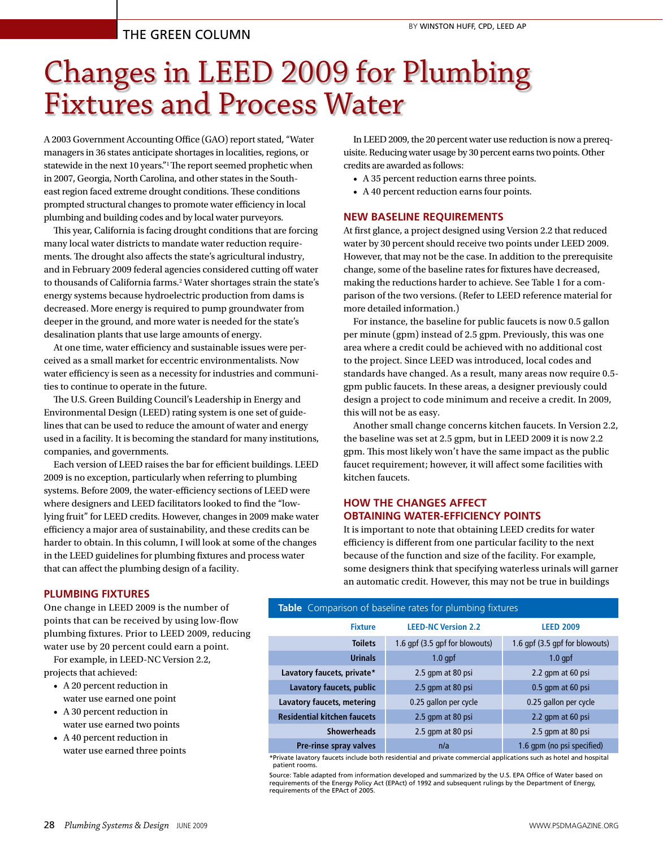# Changes in LEED 2009 for Plumbing Fixtures and Process Water

A 2003 Government Accounting Office (GAO) report stated, "Water managers in 36 states anticipate shortages in localities, regions, or statewide in the next 10 years."1 The report seemed prophetic when in 2007, Georgia, North Carolina, and other states in the Southeast region faced extreme drought conditions. These conditions prompted structural changes to promote water efficiency in local plumbing and building codes and by local water purveyors.

This year, California is facing drought conditions that are forcing many local water districts to mandate water reduction requirements. The drought also affects the state's agricultural industry, and in February 2009 federal agencies considered cutting off water to thousands of California farms.<sup>2</sup> Water shortages strain the state's energy systems because hydroelectric production from dams is decreased. More energy is required to pump groundwater from deeper in the ground, and more water is needed for the state's desalination plants that use large amounts of energy.

At one time, water efficiency and sustainable issues were perceived as a small market for eccentric environmentalists. Now water efficiency is seen as a necessity for industries and communities to continue to operate in the future.

The U.S. Green Building Council's Leadership in Energy and Environmental Design (LEED) rating system is one set of guidelines that can be used to reduce the amount of water and energy used in a facility. It is becoming the standard for many institutions, companies, and governments.

Each version of LEED raises the bar for efficient buildings. LEED 2009 is no exception, particularly when referring to plumbing systems. Before 2009, the water-efficiency sections of LEED were where designers and LEED facilitators looked to find the "lowlying fruit" for LEED credits. However, changes in 2009 make water efficiency a major area of sustainability, and these credits can be harder to obtain. In this column, I will look at some of the changes in the LEED guidelines for plumbing fixtures and process water that can affect the plumbing design of a facility.

In LEED 2009, the 20 percent water use reduction is now a prerequisite. Reducing water usage by 30 percent earns two points. Other credits are awarded as follows:

- • A 35 percent reduction earns three points.
- • A 40 percent reduction earns four points.

# **New Baseline Requirements**

At first glance, a project designed using Version 2.2 that reduced water by 30 percent should receive two points under LEED 2009. However, that may not be the case. In addition to the prerequisite change, some of the baseline rates for fixtures have decreased, making the reductions harder to achieve. See Table 1 for a comparison of the two versions. (Refer to LEED reference material for more detailed information.)

For instance, the baseline for public faucets is now 0.5 gallon per minute (gpm) instead of 2.5 gpm. Previously, this was one area where a credit could be achieved with no additional cost to the project. Since LEED was introduced, local codes and standards have changed. As a result, many areas now require 0.5 gpm public faucets. In these areas, a designer previously could design a project to code minimum and receive a credit. In 2009, this will not be as easy.

Another small change concerns kitchen faucets. In Version 2.2, the baseline was set at 2.5 gpm, but in LEED 2009 it is now 2.2 gpm. This most likely won't have the same impact as the public faucet requirement; however, it will affect some facilities with kitchen faucets.

# **How the Changes Affect Obtaining Water-efficiency Points**

It is important to note that obtaining LEED credits for water efficiency is different from one particular facility to the next because of the function and size of the facility. For example, some designers think that specifying waterless urinals will garner an automatic credit. However, this may not be true in buildings

# **PLUMBING FIXTURES**

One change in LEED 2009 is the number of points that can be received by using low-flow plumbing fixtures. Prior to LEED 2009, reducing water use by 20 percent could earn a point.

For example, in LEED-NC Version 2.2, projects that achieved:

- • A 20 percent reduction in water use earned one point
- • A 30 percent reduction in water use earned two points
- • A 40 percent reduction in water use earned three points

**Table** Comparison of baseline rates for plumbing fixtures

| <b>Fixture</b>                     | <b>LEED-NC Version 2.2</b>     | <b>LEED 2009</b>               |
|------------------------------------|--------------------------------|--------------------------------|
| <b>Toilets</b>                     | 1.6 gpf (3.5 gpf for blowouts) | 1.6 gpf (3.5 gpf for blowouts) |
| Urinals                            | $1.0$ gpf                      | $1.0$ gpf                      |
| Lavatory faucets, private*         | 2.5 gpm at 80 psi              | 2.2 qpm at 60 psi              |
| Lavatory faucets, public           | 2.5 gpm at 80 psi              | 0.5 gpm at 60 psi              |
| Lavatory faucets, metering         | 0.25 gallon per cycle          | 0.25 gallon per cycle          |
| <b>Residential kitchen faucets</b> | 2.5 gpm at 80 psi              | 2.2 gpm at 60 psi              |
| <b>Showerheads</b>                 | 2.5 gpm at 80 psi              | 2.5 gpm at 80 psi              |
| Pre-rinse spray valves             | n/a                            | 1.6 qpm (no psi specified)     |

\*Private lavatory faucets include both residential and private commercial applications such as hotel and hospital patient rooms.

Source: Table adapted from information developed and summarized by the U.S. EPA Office of Water based on requirements of the Energy Policy Act (EPAct) of 1992 and subsequent rulings by the Department of Energy, requirements of the EPAct of 2005.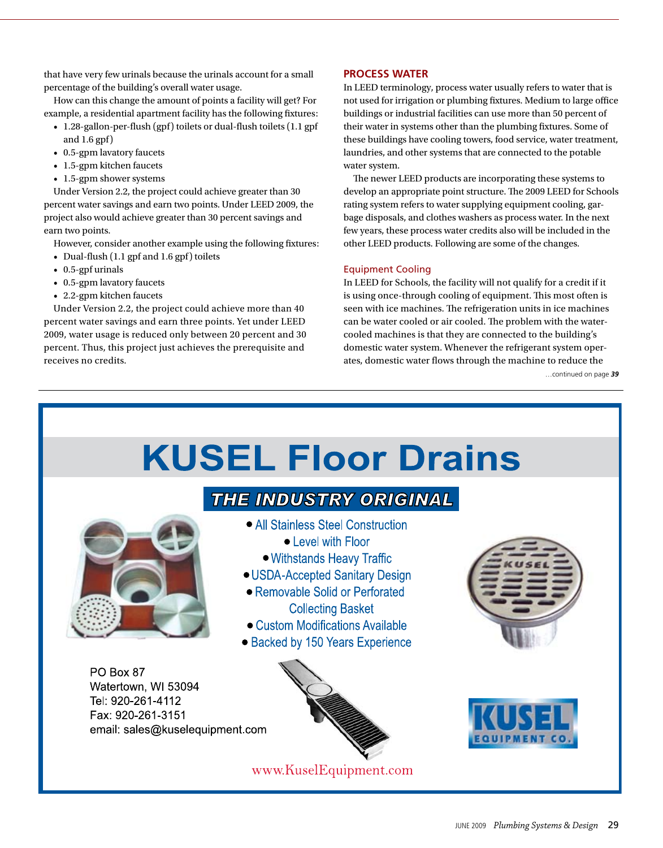that have very few urinals because the urinals account for a small percentage of the building's overall water usage.

How can this change the amount of points a facility will get? For example, a residential apartment facility has the following fixtures:

- 1.28-gallon-per-flush (gpf) toilets or dual-flush toilets (1.1 gpf and 1.6 gpf)
- 0.5-gpm lavatory faucets
- 1.5-gpm kitchen faucets
- 1.5-gpm shower systems

Under Version 2.2, the project could achieve greater than 30 percent water savings and earn two points. Under LEED 2009, the project also would achieve greater than 30 percent savings and earn two points.

However, consider another example using the following fixtures:

- Dual-flush (1.1 gpf and 1.6 gpf) toilets
- • 0.5-gpf urinals
- 0.5-gpm lavatory faucets
- 2.2-gpm kitchen faucets

Under Version 2.2, the project could achieve more than 40 percent water savings and earn three points. Yet under LEED 2009, water usage is reduced only between 20 percent and 30 percent. Thus, this project just achieves the prerequisite and receives no credits.

# **PROCESS WATER**

In LEED terminology, process water usually refers to water that is not used for irrigation or plumbing fixtures. Medium to large office buildings or industrial facilities can use more than 50 percent of their water in systems other than the plumbing fixtures. Some of these buildings have cooling towers, food service, water treatment, laundries, and other systems that are connected to the potable water system.

The newer LEED products are incorporating these systems to develop an appropriate point structure. The 2009 LEED for Schools rating system refers to water supplying equipment cooling, garbage disposals, and clothes washers as process water. In the next few years, these process water credits also will be included in the other LEED products. Following are some of the changes.

# Equipment Cooling

In LEED for Schools, the facility will not qualify for a credit if it is using once-through cooling of equipment. This most often is seen with ice machines. The refrigeration units in ice machines can be water cooled or air cooled. The problem with the watercooled machines is that they are connected to the building's domestic water system. Whenever the refrigerant system operates, domestic water flows through the machine to reduce the

…continued on page *39*